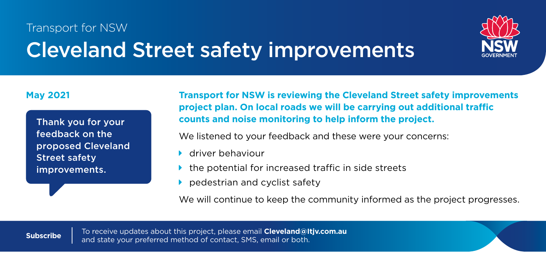## Transport for NSW Cleveland Street safety improvements



feedback on the proposed Cleveland Street safety improvements.

**May 2021 Transport for NSW is reviewing the Cleveland Street safety improvements project plan. On local roads we will be carrying out additional trafc counts and noise monitoring to help inform the project.** Thank you for your

We listened to your feedback and these were your concerns:

- **M** driver behaviour
- the potential for increased traffic in side streets
- **nedestrian and cyclist safety**

We will continue to keep the community informed as the project progresses.

To receive updates about this project, please email **Cleveland@Itjv.com.au Subscribe** and state your preferred method of contact, SMS, email or both.